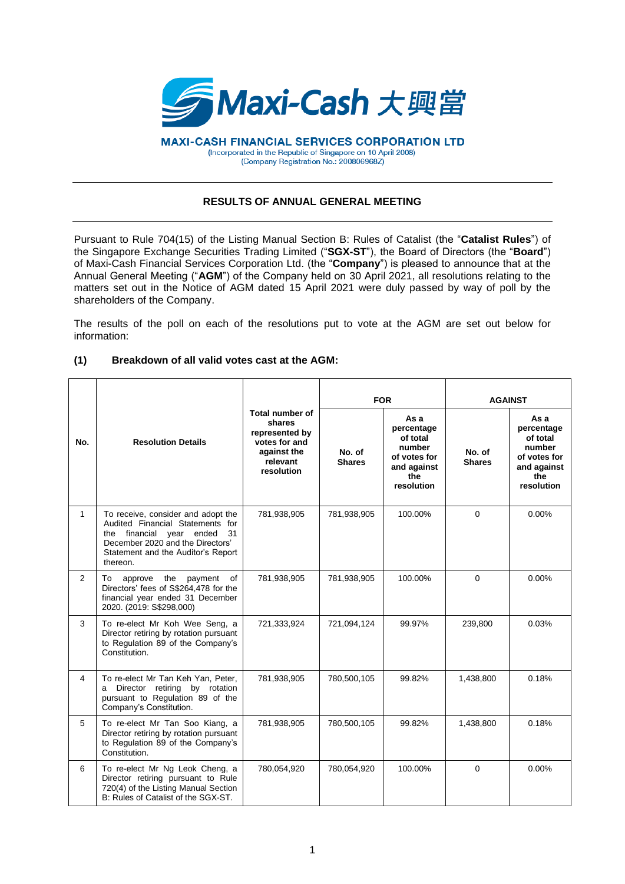

**MAXI-CASH FINANCIAL SERVICES CORPORATION LTD** (Incorporated in the Republic of Singapore on 10 April 2008) (Company Registration No.: 200806968Z)

## **RESULTS OF ANNUAL GENERAL MEETING**

Pursuant to Rule 704(15) of the Listing Manual Section B: Rules of Catalist (the "**Catalist Rules**") of the Singapore Exchange Securities Trading Limited ("**SGX-ST**"), the Board of Directors (the "**Board**") of Maxi-Cash Financial Services Corporation Ltd. (the "**Company**") is pleased to announce that at the Annual General Meeting ("**AGM**") of the Company held on 30 April 2021, all resolutions relating to the matters set out in the Notice of AGM dated 15 April 2021 were duly passed by way of poll by the shareholders of the Company.

The results of the poll on each of the resolutions put to vote at the AGM are set out below for information:

## **(1) Breakdown of all valid votes cast at the AGM:**

|                | <b>Resolution Details</b>                                                                                                                                                                      | Total number of<br>shares<br>represented by<br>votes for and<br>against the<br>relevant<br>resolution | <b>FOR</b>              |                                                                                              | <b>AGAINST</b>          |                                                                                              |
|----------------|------------------------------------------------------------------------------------------------------------------------------------------------------------------------------------------------|-------------------------------------------------------------------------------------------------------|-------------------------|----------------------------------------------------------------------------------------------|-------------------------|----------------------------------------------------------------------------------------------|
| No.            |                                                                                                                                                                                                |                                                                                                       | No. of<br><b>Shares</b> | As a<br>percentage<br>of total<br>number<br>of votes for<br>and against<br>the<br>resolution | No. of<br><b>Shares</b> | As a<br>percentage<br>of total<br>number<br>of votes for<br>and against<br>the<br>resolution |
| $\mathbf{1}$   | To receive, consider and adopt the<br>Audited Financial Statements for<br>the financial year ended<br>31<br>December 2020 and the Directors'<br>Statement and the Auditor's Report<br>thereon. | 781,938,905                                                                                           | 781,938,905             | 100.00%                                                                                      | $\Omega$                | $0.00\%$                                                                                     |
| $\overline{2}$ | To approve the<br>payment of<br>Directors' fees of S\$264,478 for the<br>financial year ended 31 December<br>2020. (2019: S\$298,000)                                                          | 781,938,905                                                                                           | 781,938,905             | 100.00%                                                                                      | $\Omega$                | 0.00%                                                                                        |
| 3              | To re-elect Mr Koh Wee Seng, a<br>Director retiring by rotation pursuant<br>to Regulation 89 of the Company's<br>Constitution.                                                                 | 721,333,924                                                                                           | 721,094,124             | 99.97%                                                                                       | 239,800                 | 0.03%                                                                                        |
| 4              | To re-elect Mr Tan Keh Yan, Peter,<br>a Director retiring by rotation<br>pursuant to Regulation 89 of the<br>Company's Constitution.                                                           | 781,938,905                                                                                           | 780,500,105             | 99.82%                                                                                       | 1,438,800               | 0.18%                                                                                        |
| 5              | To re-elect Mr Tan Soo Kiang, a<br>Director retiring by rotation pursuant<br>to Regulation 89 of the Company's<br>Constitution.                                                                | 781,938,905                                                                                           | 780,500,105             | 99.82%                                                                                       | 1,438,800               | 0.18%                                                                                        |
| 6              | To re-elect Mr Ng Leok Cheng, a<br>Director retiring pursuant to Rule<br>720(4) of the Listing Manual Section<br>B: Rules of Catalist of the SGX-ST.                                           | 780,054,920                                                                                           | 780,054,920             | 100.00%                                                                                      | $\Omega$                | 0.00%                                                                                        |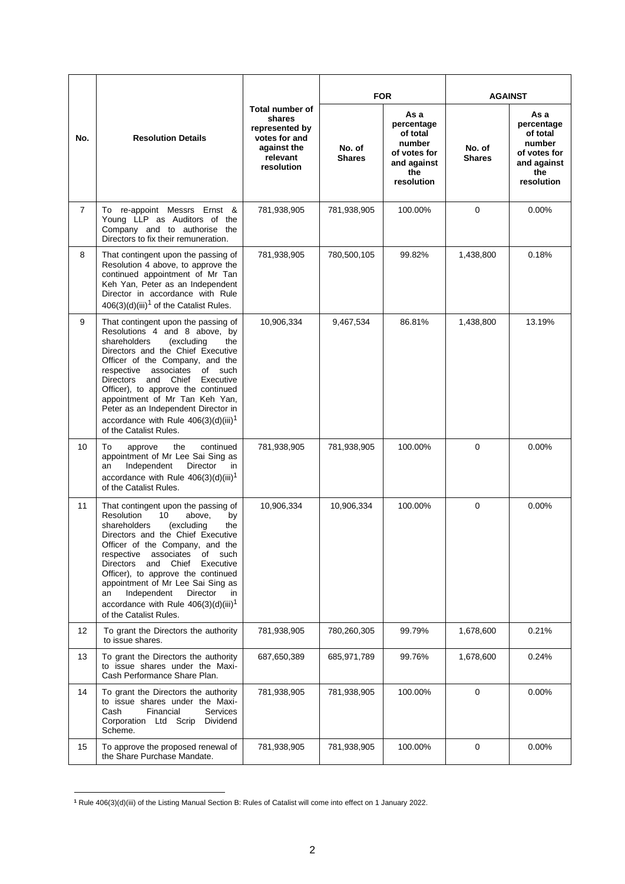| No.            | <b>Resolution Details</b>                                                                                                                                                                                                                                                                                                                                                                                                                                                 | <b>Total number of</b><br>shares<br>represented by<br>votes for and<br>against the<br>relevant<br>resolution | <b>FOR</b>              |                                                                                              | <b>AGAINST</b>          |                                                                                              |
|----------------|---------------------------------------------------------------------------------------------------------------------------------------------------------------------------------------------------------------------------------------------------------------------------------------------------------------------------------------------------------------------------------------------------------------------------------------------------------------------------|--------------------------------------------------------------------------------------------------------------|-------------------------|----------------------------------------------------------------------------------------------|-------------------------|----------------------------------------------------------------------------------------------|
|                |                                                                                                                                                                                                                                                                                                                                                                                                                                                                           |                                                                                                              | No. of<br><b>Shares</b> | As a<br>percentage<br>of total<br>number<br>of votes for<br>and against<br>the<br>resolution | No. of<br><b>Shares</b> | As a<br>percentage<br>of total<br>number<br>of votes for<br>and against<br>the<br>resolution |
| $\overline{7}$ | To re-appoint Messrs Ernst &<br>Young LLP as Auditors of the<br>Company and to authorise the<br>Directors to fix their remuneration.                                                                                                                                                                                                                                                                                                                                      | 781,938,905                                                                                                  | 781,938,905             | 100.00%                                                                                      | $\mathbf 0$             | 0.00%                                                                                        |
| 8              | That contingent upon the passing of<br>Resolution 4 above, to approve the<br>continued appointment of Mr Tan<br>Keh Yan, Peter as an Independent<br>Director in accordance with Rule<br>$406(3)(d)(iii)^1$ of the Catalist Rules.                                                                                                                                                                                                                                         | 781,938,905                                                                                                  | 780,500,105             | 99.82%                                                                                       | 1,438,800               | 0.18%                                                                                        |
| 9              | That contingent upon the passing of<br>Resolutions 4 and 8 above, by<br>(excluding<br>shareholders<br>the<br>Directors and the Chief Executive<br>Officer of the Company, and the<br>respective<br>associates<br>of such<br>Directors<br>and<br>Chief<br>Executive<br>Officer), to approve the continued<br>appointment of Mr Tan Keh Yan,<br>Peter as an Independent Director in<br>accordance with Rule $406(3)(d)(iii)^1$<br>of the Catalist Rules.                    | 10,906,334                                                                                                   | 9,467,534               | 86.81%                                                                                       | 1,438,800               | 13.19%                                                                                       |
| 10             | To<br>the<br>continued<br>approve<br>appointment of Mr Lee Sai Sing as<br>Independent<br>Director<br>an<br>in.<br>accordance with Rule $406(3)(d)(iii)^1$<br>of the Catalist Rules.                                                                                                                                                                                                                                                                                       | 781,938,905                                                                                                  | 781,938,905             | 100.00%                                                                                      | 0                       | 0.00%                                                                                        |
| 11             | That contingent upon the passing of<br>Resolution<br>10<br>above,<br>by<br>(excluding<br>shareholders<br>the<br>Directors and the Chief Executive<br>Officer of the Company, and the<br>respective associates<br>of such<br><b>Directors</b><br>Chief<br>and<br>Executive<br>Officer), to approve the continued<br>appointment of Mr Lee Sai Sing as<br>Independent<br>Director<br>an<br>in<br>accordance with Rule 406(3)(d)(iii) <sup>1</sup><br>of the Catalist Rules. | 10,906,334                                                                                                   | 10,906,334              | 100.00%                                                                                      | $\mathbf 0$             | 0.00%                                                                                        |
| 12             | To grant the Directors the authority<br>to issue shares.                                                                                                                                                                                                                                                                                                                                                                                                                  | 781,938,905                                                                                                  | 780,260,305             | 99.79%                                                                                       | 1,678,600               | 0.21%                                                                                        |
| 13             | To grant the Directors the authority<br>to issue shares under the Maxi-<br>Cash Performance Share Plan.                                                                                                                                                                                                                                                                                                                                                                   | 687,650,389                                                                                                  | 685,971,789             | 99.76%                                                                                       | 1,678,600               | 0.24%                                                                                        |
| 14             | To grant the Directors the authority<br>to issue shares under the Maxi-<br>Cash<br>Financial<br>Services<br>Corporation Ltd Scrip<br>Dividend<br>Scheme.                                                                                                                                                                                                                                                                                                                  | 781,938,905                                                                                                  | 781,938,905             | 100.00%                                                                                      | 0                       | 0.00%                                                                                        |
| 15             | To approve the proposed renewal of<br>the Share Purchase Mandate.                                                                                                                                                                                                                                                                                                                                                                                                         | 781,938,905                                                                                                  | 781,938,905             | 100.00%                                                                                      | 0                       | 0.00%                                                                                        |

**<sup>1</sup>** Rule 406(3)(d)(iii) of the Listing Manual Section B: Rules of Catalist will come into effect on 1 January 2022.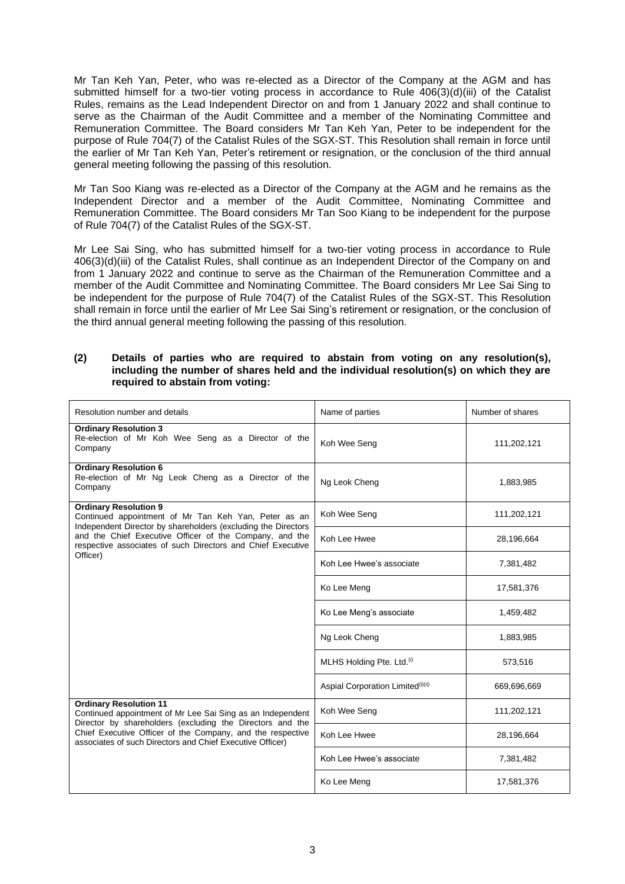Mr Tan Keh Yan, Peter, who was re-elected as a Director of the Company at the AGM and has submitted himself for a two-tier voting process in accordance to Rule 406(3)(d)(iii) of the Catalist Rules, remains as the Lead Independent Director on and from 1 January 2022 and shall continue to serve as the Chairman of the Audit Committee and a member of the Nominating Committee and Remuneration Committee. The Board considers Mr Tan Keh Yan, Peter to be independent for the purpose of Rule 704(7) of the Catalist Rules of the SGX-ST. This Resolution shall remain in force until the earlier of Mr Tan Keh Yan, Peter's retirement or resignation, or the conclusion of the third annual general meeting following the passing of this resolution.

Mr Tan Soo Kiang was re-elected as a Director of the Company at the AGM and he remains as the Independent Director and a member of the Audit Committee, Nominating Committee and Remuneration Committee. The Board considers Mr Tan Soo Kiang to be independent for the purpose of Rule 704(7) of the Catalist Rules of the SGX-ST.

Mr Lee Sai Sing, who has submitted himself for a two-tier voting process in accordance to Rule 406(3)(d)(iii) of the Catalist Rules, shall continue as an Independent Director of the Company on and from 1 January 2022 and continue to serve as the Chairman of the Remuneration Committee and a member of the Audit Committee and Nominating Committee. The Board considers Mr Lee Sai Sing to be independent for the purpose of Rule 704(7) of the Catalist Rules of the SGX-ST. This Resolution shall remain in force until the earlier of Mr Lee Sai Sing's retirement or resignation, or the conclusion of the third annual general meeting following the passing of this resolution.

## **(2) Details of parties who are required to abstain from voting on any resolution(s), including the number of shares held and the individual resolution(s) on which they are required to abstain from voting:**

| Resolution number and details                                                                                                                                                        | Name of parties                               | Number of shares |
|--------------------------------------------------------------------------------------------------------------------------------------------------------------------------------------|-----------------------------------------------|------------------|
| <b>Ordinary Resolution 3</b><br>Re-election of Mr Koh Wee Seng as a Director of the<br>Company                                                                                       | Koh Wee Seng                                  | 111,202,121      |
| <b>Ordinary Resolution 6</b><br>Re-election of Mr Ng Leok Cheng as a Director of the<br>Company                                                                                      | Ng Leok Cheng                                 | 1,883,985        |
| <b>Ordinary Resolution 9</b><br>Continued appointment of Mr Tan Keh Yan, Peter as an<br>Independent Director by shareholders (excluding the Directors                                | Koh Wee Seng                                  | 111,202,121      |
| and the Chief Executive Officer of the Company, and the<br>respective associates of such Directors and Chief Executive                                                               | Koh Lee Hwee                                  | 28,196,664       |
| Officer)                                                                                                                                                                             | Koh Lee Hwee's associate                      | 7,381,482        |
|                                                                                                                                                                                      | Ko Lee Meng                                   | 17,581,376       |
|                                                                                                                                                                                      | Ko Lee Meng's associate                       | 1,459,482        |
|                                                                                                                                                                                      | Ng Leok Cheng                                 | 1,883,985        |
|                                                                                                                                                                                      | MLHS Holding Pte. Ltd. <sup>(i)</sup>         | 573,516          |
|                                                                                                                                                                                      | Aspial Corporation Limited <sup>(i)(ii)</sup> | 669,696,669      |
| <b>Ordinary Resolution 11</b><br>Continued appointment of Mr Lee Sai Sing as an Independent                                                                                          | Koh Wee Seng                                  | 111,202,121      |
| Director by shareholders (excluding the Directors and the<br>Chief Executive Officer of the Company, and the respective<br>associates of such Directors and Chief Executive Officer) | Koh Lee Hwee                                  | 28,196,664       |
|                                                                                                                                                                                      | Koh Lee Hwee's associate                      | 7,381,482        |
|                                                                                                                                                                                      | Ko Lee Meng                                   | 17,581,376       |